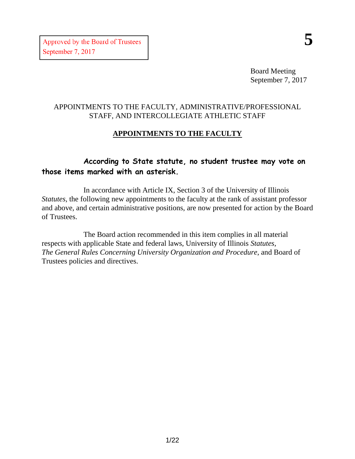Board Meeting September 7, 2017

# APPOINTMENTS TO THE FACULTY, ADMINISTRATIVE/PROFESSIONAL STAFF, AND INTERCOLLEGIATE ATHLETIC STAFF

# **APPOINTMENTS TO THE FACULTY**

# **According to State statute, no student trustee may vote on those items marked with an asterisk.**

In accordance with Article IX, Section 3 of the University of Illinois *Statutes*, the following new appointments to the faculty at the rank of assistant professor and above, and certain administrative positions, are now presented for action by the Board of Trustees.

The Board action recommended in this item complies in all material respects with applicable State and federal laws, University of Illinois *Statutes*, *The General Rules Concerning University Organization and Procedure*, and Board of Trustees policies and directives.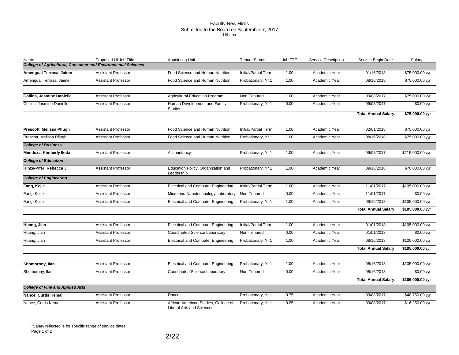#### Faculty New Hires Submitted to the Board on September 7, 2017 Urbana

| Name                                                                | Proposed UI Job Title      | <b>Appointing Unit</b>                                            | <b>Tenure Status</b> | Job FTE | Service Description | Service Begin Date         | Salary           |
|---------------------------------------------------------------------|----------------------------|-------------------------------------------------------------------|----------------------|---------|---------------------|----------------------------|------------------|
| <b>College of Agricultural, Consumer and Environmental Sciences</b> |                            |                                                                   |                      |         |                     |                            |                  |
| Amengual Terrasa, Jaime                                             | <b>Assistant Professor</b> | Food Science and Human Nutrition                                  | Initial/Partial Term | 1.00    | Academic Year       | 01/16/2018                 | \$75,000.00 /yr  |
| Amengual Terrasa, Jaime                                             | <b>Assistant Professor</b> | Food Science and Human Nutrition                                  | Probationary, Yr 1   | 1.00    | Academic Year       | 08/16/2018                 | \$75,000.00 /yr  |
| <b>Collins, Jasmine Danielle</b>                                    | <b>Assistant Professor</b> | <b>Agricultural Education Program</b>                             | Non-Tenured          | 1.00    | Academic Year       | 09/08/2017                 | \$75,000.00 /yr  |
| Collins, Jasmine Danielle                                           | <b>Assistant Professor</b> | Human Development and Family                                      | Probationary, Yr 1   | 0.00    | Academic Year       | 09/08/2017                 | $$0.00$ /yr      |
|                                                                     |                            | <b>Studies</b>                                                    |                      |         |                     |                            |                  |
|                                                                     |                            |                                                                   |                      |         |                     | <b>Total Annual Salary</b> | \$75,000.00 /yr  |
| Prescott, Melissa Pflugh                                            | <b>Assistant Professor</b> | Food Science and Human Nutrition                                  | Initial/Partial Term | 1.00    | Academic Year       | 02/01/2018                 | \$75,000.00 /yr  |
| Prescott, Melissa Pflugh                                            | <b>Assistant Professor</b> | Food Science and Human Nutrition                                  | Probationary, Yr 1   | 1.00    | Academic Year       | 08/16/2018                 | \$75,000.00 /yr  |
| <b>College of Business</b>                                          |                            |                                                                   |                      |         |                     |                            |                  |
| Mendoza, Kimberly Ikuta                                             | <b>Assistant Professor</b> | Accountancy                                                       | Probationary, Yr 1   | 1.00    | Academic Year       | 09/08/2017                 | \$215,000.00 /yr |
| <b>College of Education</b>                                         |                            |                                                                   |                      |         |                     |                            |                  |
| Hinze-Pifer, Rebecca J.                                             | <b>Assistant Professor</b> | Education Policy, Organization and<br>Leadership                  | Probationary, Yr 1   | 1.00    | Academic Year       | 09/16/2018                 | \$70,000.00 /yr  |
| <b>College of Engineering</b>                                       |                            |                                                                   |                      |         |                     |                            |                  |
| Fang, Kejie                                                         | <b>Assistant Professor</b> | <b>Electrical and Computer Engineering</b>                        | Initial/Partial Term | 1.00    | Academic Year       | 11/01/2017                 | \$105,000.00 /yr |
| Fang, Kejie                                                         | <b>Assistant Professor</b> | Micro and Nanotechnology Laboratory                               | Non-Tenured          | 0.00    | Academic Year       | 11/01/2017                 | \$0.00 / yr      |
| Fang, Kejie                                                         | <b>Assistant Professor</b> | <b>Electrical and Computer Engineering</b>                        | Probationary, Yr 1   | 1.00    | Academic Year       | 08/16/2018                 | \$105,000.00 /yr |
|                                                                     |                            |                                                                   |                      |         |                     | <b>Total Annual Salary</b> | \$105,000.00 /yr |
| Huang, Jian                                                         | <b>Assistant Professor</b> | <b>Electrical and Computer Engineering</b>                        | Initial/Partial Term | 1.00    | Academic Year       | 01/01/2018                 | \$105,000.00 /yr |
| Huang, Jian                                                         | <b>Assistant Professor</b> | Coordinated Science Laboratory                                    | Non-Tenured          | 0.00    | Academic Year       | 01/01/2018                 | \$0.00 /yr       |
| Huang, Jian                                                         | <b>Assistant Professor</b> | <b>Electrical and Computer Engineering</b>                        | Probationary, Yr 1   | 1.00    | Academic Year       | 08/16/2018                 | \$105,000.00 /yr |
|                                                                     |                            |                                                                   |                      |         |                     | <b>Total Annual Salary</b> | \$105,000.00 /yr |
|                                                                     |                            |                                                                   |                      |         |                     |                            |                  |
| Shomorony, Ilan                                                     | <b>Assistant Professor</b> | <b>Electrical and Computer Engineering</b>                        | Probationary, Yr 1   | 1.00    | Academic Year       | 08/16/2018                 | \$105,000.00 /yr |
| Shomorony, Ilan                                                     | <b>Assistant Professor</b> | Cooridnated Science Laboratory                                    | Non-Tenured          | 0.00    | Academic Year       | 08/16/2018                 | \$0.00 /yr       |
|                                                                     |                            |                                                                   |                      |         |                     | <b>Total Annual Salary</b> | \$105,000.00 /yr |
| <b>College of Fine and Applied Arts</b>                             |                            |                                                                   |                      |         |                     |                            |                  |
| Nance, Curtis Kemal                                                 | <b>Assistant Professor</b> | Dance                                                             | Probationary, Yr 1   | 0.75    | Academic Year       | 09/08/2017                 | \$48,750.00 /yr  |
| Nance, Curtis Kemal                                                 | <b>Assistant Professor</b> | African American Studies, College of<br>Liberal Arts and Sciences | Probationary, Yr 1   | 0.25    | Academic Year       | 09/08/2017                 | \$16,250.00 /yr  |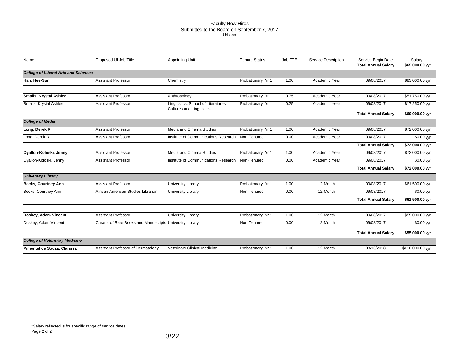#### Faculty New Hires Submitted to the Board on September 7, 2017 Urbana

| Name                                        | Proposed UI Job Title                                    | <b>Appointing Unit</b>                                                 | <b>Tenure Status</b> | Job FTE | <b>Service Description</b> | Service Begin Date         | Salary                         |
|---------------------------------------------|----------------------------------------------------------|------------------------------------------------------------------------|----------------------|---------|----------------------------|----------------------------|--------------------------------|
|                                             |                                                          |                                                                        |                      |         |                            | <b>Total Annual Salary</b> | \$65,000.00 /yr                |
| <b>College of Liberal Arts and Sciences</b> |                                                          |                                                                        |                      |         |                            |                            |                                |
| Han, Hee-Sun                                | <b>Assistant Professor</b>                               | Chemistry                                                              | Probationary, Yr 1   | 1.00    | Academic Year              | 09/08/2017                 | \$83,000.00 /yr                |
| <b>Smalls, Krystal Ashlee</b>               | <b>Assistant Professor</b>                               | Anthropology                                                           | Probationary, Yr 1   | 0.75    | Academic Year              | 09/08/2017                 | \$51,750.00 /yr                |
| Smalls, Krystal Ashlee                      | <b>Assistant Professor</b>                               | Linguisitcs, School of Literatures,<br><b>Cultures and Linguistics</b> | Probationary, Yr 1   | 0.25    | Academic Year              | 09/08/2017                 | \$17,250.00 /yr                |
|                                             |                                                          |                                                                        |                      |         |                            | <b>Total Annual Salary</b> | \$69,000.00 /yr                |
| <b>College of Media</b>                     |                                                          |                                                                        |                      |         |                            |                            |                                |
| Long, Derek R.                              | <b>Assistant Professor</b>                               | Media and Cinema Studies                                               | Probationary, Yr 1   | 1.00    | Academic Year              | 09/08/2017                 | \$72,000.00 /yr                |
| Long, Derek R.                              | Assistant Professor                                      | Institute of Communications Research                                   | Non-Tenured          | 0.00    | Academic Year              | 09/08/2017                 | $\overline{$0.00 \text{ /yr}}$ |
|                                             |                                                          |                                                                        |                      |         |                            | <b>Total Annual Salary</b> | \$72,000.00 /yr                |
| Oyallon-Koloski, Jenny                      | <b>Assistant Professor</b>                               | Media and Cinema Studies                                               | Probationary, Yr 1   | 1.00    | Academic Year              | 09/08/2017                 | \$72,000.00 /yr                |
| Oyallon-Koloski, Jenny                      | <b>Assistant Professor</b>                               | Institute of Communications Research                                   | Non-Tenured          | 0.00    | Academic Year              | 09/08/2017                 | \$0.00 / yr                    |
|                                             |                                                          |                                                                        |                      |         |                            | <b>Total Annual Salary</b> | \$72,000.00 /yr                |
| <b>University Library</b>                   |                                                          |                                                                        |                      |         |                            |                            |                                |
| <b>Becks, Courtney Ann</b>                  | <b>Assistant Professor</b>                               | University Library                                                     | Probationary, Yr 1   | 1.00    | 12-Month                   | 09/08/2017                 | \$61,500.00 /yr                |
| Becks, Courtney Ann                         | African American Studies Librarian                       | University Library                                                     | Non-Tenured          | 0.00    | 12-Month                   | 09/08/2017                 | \$0.00 / yr                    |
|                                             |                                                          |                                                                        |                      |         |                            | <b>Total Annual Salary</b> | \$61,500.00 /yr                |
| Doskey, Adam Vincent                        | <b>Assistant Professor</b>                               | University Library                                                     | Probationary, Yr 1   | 1.00    | 12-Month                   | 09/08/2017                 | \$55,000.00 /yr                |
| Doskey, Adam Vincent                        | Curator of Rare Books and Manuscripts University Library |                                                                        | Non-Tenured          | 0.00    | 12-Month                   | 09/08/2017                 | $$0.00$ /yr                    |
|                                             |                                                          |                                                                        |                      |         |                            | <b>Total Annual Salary</b> | \$55,000.00 /yr                |
| <b>College of Veterinary Medicine</b>       |                                                          |                                                                        |                      |         |                            |                            |                                |
| Pimentel de Souza, Clarissa                 | Assistant Professor of Dermatology                       | Veterinary Clinical Medicine                                           | Probationary, Yr 1   | 1.00    | 12-Month                   | 08/16/2018                 | \$110,000.00 /yr               |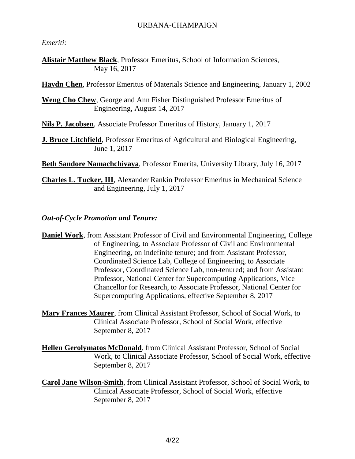### URBANA-CHAMPAIGN

*Emeriti:*

**Alistair Matthew Black**, Professor Emeritus, School of Information Sciences, May 16, 2017

**Haydn Chen**, Professor Emeritus of Materials Science and Engineering, January 1, 2002

**Weng Cho Chew**, George and Ann Fisher Distinguished Professor Emeritus of Engineering, August 14, 2017

**Nils P. Jacobsen**, Associate Professor Emeritus of History, January 1, 2017

**J. Bruce Litchfield**, Professor Emeritus of Agricultural and Biological Engineering, June 1, 2017

**Beth Sandore Namachchivaya**, Professor Emerita, University Library, July 16, 2017

**Charles L. Tucker, III**, Alexander Rankin Professor Emeritus in Mechanical Science and Engineering, July 1, 2017

*Out-of-Cycle Promotion and Tenure:*

**Daniel Work**, from Assistant Professor of Civil and Environmental Engineering, College of Engineering, to Associate Professor of Civil and Environmental Engineering, on indefinite tenure; and from Assistant Professor, Coordinated Science Lab, College of Engineering, to Associate Professor, Coordinated Science Lab, non-tenured; and from Assistant Professor, National Center for Supercomputing Applications, Vice Chancellor for Research, to Associate Professor, National Center for Supercomputing Applications, effective September 8, 2017

**Mary Frances Maurer**, from Clinical Assistant Professor, School of Social Work, to Clinical Associate Professor, School of Social Work, effective September 8, 2017

**Hellen Gerolymatos McDonald**, from Clinical Assistant Professor, School of Social Work, to Clinical Associate Professor, School of Social Work, effective September 8, 2017

**Carol Jane Wilson-Smith**, from Clinical Assistant Professor, School of Social Work, to Clinical Associate Professor, School of Social Work, effective September 8, 2017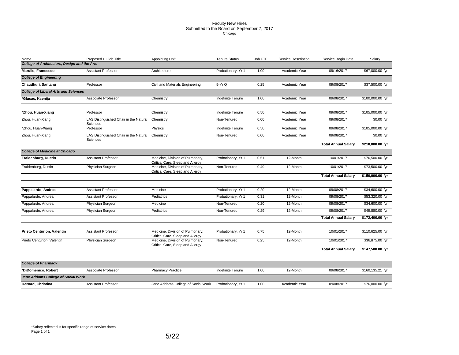#### Faculty New Hires Submitted to the Board on September 7, 2017 Chicago

| Name                                                | Proposed UI Job Title                              | <b>Appointing Unit</b>                                               | <b>Tenure Status</b>     | Job FTE | Service Description | Service Begin Date         | Salary           |
|-----------------------------------------------------|----------------------------------------------------|----------------------------------------------------------------------|--------------------------|---------|---------------------|----------------------------|------------------|
| <b>College of Architecture, Design and the Arts</b> |                                                    |                                                                      |                          |         |                     |                            |                  |
| Marullo, Francesco                                  | <b>Assistant Professor</b>                         | Architecture                                                         | Probationary, Yr 1       | 1.00    | Academic Year       | 09/16/2017                 | \$67,000.00 /yr  |
| <b>College of Engineering</b>                       |                                                    |                                                                      |                          |         |                     |                            |                  |
| Chaudhuri, Santanu                                  | Professor                                          | Civil and Materials Engineering                                      | 5-Yr Q                   | 0.25    | Academic Year       | 09/08/2017                 | \$37,500.00 /yr  |
| <b>College of Liberal Arts and Sciences</b>         |                                                    |                                                                      |                          |         |                     |                            |                  |
| *Glusac, Ksenija                                    | Associate Professor                                | Chemistry                                                            | <b>Indefinite Tenure</b> | 1.00    | Academic Year       | 09/08/2017                 | \$100,000.00 /yr |
|                                                     |                                                    |                                                                      |                          |         |                     |                            |                  |
| *Zhou, Huan-Xiang                                   | Professor                                          | Chemistry                                                            | Indefinite Tenure        | 0.50    | Academic Year       | 09/08/2017                 | \$105,000.00 /yr |
| Zhou, Huan-Xiang                                    | LAS Distinguished Chair in the Natural<br>Sciences | Chemistry                                                            | Non-Tenured              | 0.00    | Academic Year       | 09/08/2017                 | \$0.00 / $vr$    |
| *Zhou, Huan-Xiang                                   | Professor                                          | Physics                                                              | <b>Indefinite Tenure</b> | 0.50    | Academic Year       | 09/08/2017                 | \$105,000.00 /yr |
| Zhou, Huan-Xiang                                    | LAS Distinguished Chair in the Natural<br>Sciences | Chemistry                                                            | Non-Tenured              | 0.00    | Academic Year       | 09/08/2017                 | \$0.00 /yr       |
|                                                     |                                                    |                                                                      |                          |         |                     | <b>Total Annual Salary</b> | \$210,000.00 /yr |
| <b>College of Medicine at Chicago</b>               |                                                    |                                                                      |                          |         |                     |                            |                  |
| Fraidenburg, Dustin                                 | <b>Assistant Professor</b>                         | Medicine, Division of Pulmonary,<br>Critical Care, Sleep and Allergy | Probationary, Yr 1       | 0.51    | 12-Month            | 10/01/2017                 | \$76,500.00 /yr  |
| Fraidenburg, Dustin                                 | Physician Surgeon                                  | Medicine, Division of Pulmonary,<br>Critical Care, Sleep and Allergy | Non-Tenured              | 0.49    | 12-Month            | 10/01/2017                 | \$73,500.00 /yr  |
|                                                     |                                                    |                                                                      |                          |         |                     | <b>Total Annual Salary</b> | \$150,000.00 /yr |
| Pappalardo, Andrea                                  | <b>Assistant Professor</b>                         | Medicine                                                             | Probationary, Yr 1       | 0.20    | 12-Month            | 09/08/2017                 | \$34,600.00 /yr  |
| Pappalardo, Andrea                                  | <b>Assistant Professor</b>                         | Pediatrics                                                           | Probationary, Yr 1       | 0.31    | 12-Month            | 09/08/2017                 | \$53,320.00 /yr  |
| Pappalardo, Andrea                                  | Physician Surgeon                                  | Medicine                                                             | Non-Tenured              | 0.20    | 12-Month            | 09/08/2017                 | \$34,600.00 /yr  |
|                                                     |                                                    |                                                                      |                          |         |                     |                            |                  |
| Pappalardo, Andrea                                  | Physician Surgeon                                  | Pediatrics                                                           | Non-Tenured              | 0.29    | 12-Month            | 09/08/2017                 | \$49,880.00 /yr  |
|                                                     |                                                    |                                                                      |                          |         |                     | <b>Total Annual Salary</b> | \$172,400.00 /yr |
| <b>Prieto Centurion, Valentin</b>                   | <b>Assistant Professor</b>                         | Medicine, Division of Pulmonary,<br>Critical Care, Sleep and Allergy | Probationary, Yr 1       | 0.75    | 12-Month            | 10/01/2017                 | \$110,625.00 /yr |
| Prieto Centurion, Valentin                          | Physician Surgeon                                  | Medicine, Division of Pulmonary,<br>Critical Care, Sleep and Allergy | Non-Tenured              | 0.25    | 12-Month            | 10/01/2017                 | \$36,875.00 /yr  |
|                                                     |                                                    |                                                                      |                          |         |                     | <b>Total Annual Salary</b> | \$147,500.00 /yr |
| <b>College of Pharmacy</b>                          |                                                    |                                                                      |                          |         |                     |                            |                  |
| *DiDomenico, Robert                                 | Associate Professor                                | <b>Pharmacy Practice</b>                                             | Indefinite Tenure        | 1.00    | 12-Month            | 09/08/2017                 | \$160,135.21 /yr |
| Jane Addams College of Social Work                  |                                                    |                                                                      |                          |         |                     |                            |                  |
| DeNard, Christina                                   | <b>Assistant Professor</b>                         | Jane Addams College of Social Work                                   | Probationary, Yr 1       | 1.00    | Academic Year       | 09/08/2017                 | \$76,000.00 /yr  |
|                                                     |                                                    |                                                                      |                          |         |                     |                            |                  |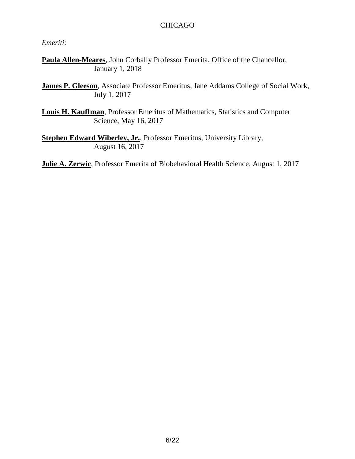## CHICAGO

### *Emeriti:*

**Paula Allen-Meares**, John Corbally Professor Emerita, Office of the Chancellor, January 1, 2018

**James P. Gleeson**, Associate Professor Emeritus, Jane Addams College of Social Work, July 1, 2017

**Louis H. Kauffman**, Professor Emeritus of Mathematics, Statistics and Computer Science, May 16, 2017

**Stephen Edward Wiberley, Jr.**, Professor Emeritus, University Library, August 16, 2017

**Julie A. Zerwic**, Professor Emerita of Biobehavioral Health Science, August 1, 2017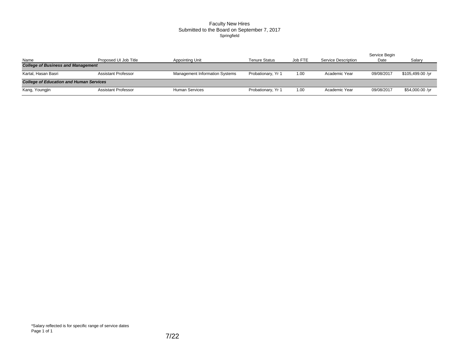### Faculty New Hires Submitted to the Board on September 7, 2017 Springfield

|                                                |                            |                                       |                    |         |                            | Service Begin |                  |
|------------------------------------------------|----------------------------|---------------------------------------|--------------------|---------|----------------------------|---------------|------------------|
| Name                                           | Proposed UI Job Title      | <b>Appointing Unit</b>                | Tenure Status      | Job FTE | <b>Service Description</b> | Date          | Salary           |
| <b>College of Business and Management</b>      |                            |                                       |                    |         |                            |               |                  |
| Kartal, Hasan Basri                            | Assistant Professor        | <b>Management Information Systems</b> | Probationary, Yr 1 | 1.00    | Academic Year              | 09/08/2017    | \$105,499.00 /yr |
| <b>College of Education and Human Services</b> |                            |                                       |                    |         |                            |               |                  |
| Kang, Youngjin                                 | <b>Assistant Professor</b> | <b>Human Services</b>                 | Probationary, Yr 1 | 1.00    | Academic Year              | 09/08/2017    | \$54,000.00 /yr  |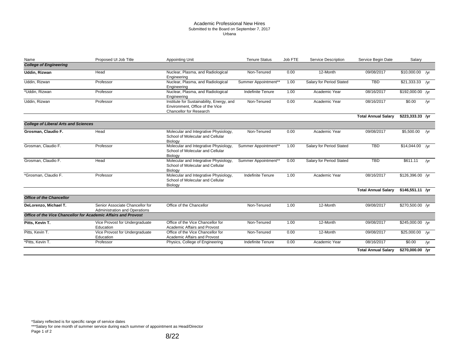#### Academic Professional New Hires Submitted to the Board on September 7, 2017 Urbana

| Name                                        | Proposed UI Job Title                                                   | Appointing Unit                                                                                         | <b>Tenure Status</b>     | Job FTE | <b>Service Description</b> | Service Begin Date         | Salary            |     |
|---------------------------------------------|-------------------------------------------------------------------------|---------------------------------------------------------------------------------------------------------|--------------------------|---------|----------------------------|----------------------------|-------------------|-----|
| <b>College of Engineering</b>               |                                                                         |                                                                                                         |                          |         |                            |                            |                   |     |
| Uddin, Rizwan                               | Head                                                                    | Nuclear, Plasma, and Radiological<br>Engineering                                                        | Non-Tenured              | 0.00    | 12-Month                   | 09/08/2017                 | $$10,000.00$ /yr  |     |
| Uddin, Rizwan                               | Professor                                                               | Nuclear, Plasma, and Radiological<br>Engineering                                                        | Summer Appointment**     | 1.00    | Salary for Period Stated   | <b>TBD</b>                 | $$21,333.33$ /yr  |     |
| *Uddin, Rizwan                              | Professor                                                               | Nuclear, Plasma, and Radiological<br>Engineering                                                        | <b>Indefinite Tenure</b> | 1.00    | Academic Year              | 08/16/2017                 | \$192,000.00 /yr  |     |
| Uddin, Rizwan                               | Professor                                                               | Institute for Sustainability, Energy, and<br>Environment, Office of the Vice<br>Chancellor for Research | Non-Tenured              | 0.00    | Academic Year              | 08/16/2017                 | \$0.00            | /yr |
|                                             |                                                                         |                                                                                                         |                          |         |                            | <b>Total Annual Salary</b> | $$223,333.33$ /yr |     |
| <b>College of Liberal Arts and Sciences</b> |                                                                         |                                                                                                         |                          |         |                            |                            |                   |     |
| Grosman, Claudio F.                         | Head                                                                    | Molecular and Integrative Physiology,<br>School of Molecular and Cellular<br>Biology                    | Non-Tenured              | 0.00    | Academic Year              | 09/08/2017                 | \$5,500.00        | /yr |
| Grosman, Claudio F.                         | Professor                                                               | Molecular and Integrative Physiology,<br>School of Molecular and Cellular<br>Biology                    | Summer Appointment**     | 1.00    | Salary for Period Stated   | <b>TBD</b>                 | $$14,044.00$ /yr  |     |
| Grosman, Claudio F.                         | Head                                                                    | Molecular and Integrative Physiology,<br>School of Molecular and Cellular<br>Biology                    | Summer Appointment**     | 0.00    | Salary for Period Stated   | <b>TBD</b>                 | \$611.11          | /yr |
| *Grosman, Claudio F.                        | Professor                                                               | Molecular and Integrative Physiology,<br>School of Molecular and Cellular<br>Biology                    | Indefinite Tenure        | 1.00    | Academic Year              | 08/16/2017                 | \$126,396.00 /yr  |     |
|                                             |                                                                         |                                                                                                         |                          |         |                            | <b>Total Annual Salary</b> | $$146,551.11$ /yr |     |
| <b>Office of the Chancellor</b>             |                                                                         |                                                                                                         |                          |         |                            |                            |                   |     |
| DeLorenzo, Michael T.                       | Senior Associate Chancellor for<br><b>Administration and Operations</b> | Office of the Chancellor                                                                                | Non-Tenured              | 1.00    | 12-Month                   | 09/08/2017                 | \$270,500.00 /yr  |     |
|                                             | Office of the Vice Chancellor for Academic Affairs and Provost          |                                                                                                         |                          |         |                            |                            |                   |     |
| Pitts, Kevin T.                             | Vice Provost for Undergraduate<br>Education                             | Office of the Vice Chancellor for<br>Academic Affairs and Provost                                       | Non-Tenured              | 1.00    | 12-Month                   | 09/08/2017                 | \$245,000.00 /yr  |     |
| Pitts, Kevin T.                             | Vice Provost for Undergraduate<br>Education                             | Office of the Vice Chancellor for<br>Academic Affairs and Provost                                       | Non-Tenured              | 0.00    | 12-Month                   | 09/08/2017                 | \$25,000.00 /yr   |     |
| *Pitts, Kevin T.                            | Professor                                                               | Physics, College of Engineering                                                                         | <b>Indefinite Tenure</b> | 0.00    | Academic Year              | 08/16/2017                 | \$0.00            | /yr |
|                                             |                                                                         |                                                                                                         |                          |         |                            | <b>Total Annual Salary</b> | \$270,000.00 /yr  |     |

\*Salary reflected is for specific range of service dates

\*\*\*Salary for one month of summer service during each summer of appointment as Head/Director Page 1 of 2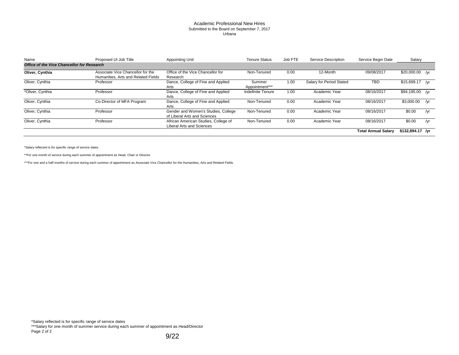#### Academic Professional New Hires Submitted to the Board on September 7, 2017 Urbana

| Name                                              | Proposed UI Job Title                                                    | <b>Appointing Unit</b>                                              | <b>Tenure Status</b>     | Job FTE | Service Description      | Service Begin Date         | Salary           |     |
|---------------------------------------------------|--------------------------------------------------------------------------|---------------------------------------------------------------------|--------------------------|---------|--------------------------|----------------------------|------------------|-----|
| <b>Office of the Vice Chancellor for Research</b> |                                                                          |                                                                     |                          |         |                          |                            |                  |     |
| Oliver, Cynthia                                   | Associate Vice Chancellor for the<br>Humanities, Arts and Related Fields | Office of the Vice Chancellor for<br>Research                       | Non-Tenured              | 0.00    | 12-Month                 | 09/08/2017                 | \$20,000.00 /yr  |     |
| Oliver, Cynthia                                   | Professor                                                                | Dance, College of Fine and Applied<br>Arts                          | Summer<br>Appointment*** | 1.00    | Salary for Period Stated | TBD                        | $$15,699.17$ /yr |     |
| *Oliver, Cynthia                                  | Professor                                                                | Dance, College of Fine and Applied<br>Arts                          | Indefinite Tenure        | 1.00    | Academic Year            | 08/16/2017                 | \$94,195.00 /yr  |     |
| Oliver, Cynthia                                   | Co-Director of MFA Program                                               | Dance, College of Fine and Applied<br>Arts                          | Non-Tenured              | 0.00    | Academic Year            | 08/16/2017                 | \$3,000.00       | /vr |
| Oliver, Cynthia                                   | Professor                                                                | Gender and Women's Studies, College<br>of Liberal Arts and Sciences | Non-Tenured              | 0.00    | Academic Year            | 08/16/2017                 | \$0.00           | /yr |
| Oliver, Cynthia                                   | Professor                                                                | African American Studies, College of<br>Liberal Arts and Sciences   | Non-Tenured              | 0.00    | Academic Year            | 08/16/2017                 | \$0.00           | /yr |
|                                                   |                                                                          |                                                                     |                          |         |                          | <b>Total Annual Salarv</b> | \$132,894.17 /yr |     |

\*Salary reflected is for specific range of service dates

\*\*For one month of service during each summer of appointment as Head, Chair or Director

\*\*\*For one and a half months of service during each summer of appointment as Associate Vice Chancellor for the Humanities, Arts and Related Fields

\*Salary reflected is for specific range of service dates

\*\*\*Salary for one month of summer service during each summer of appointment as Head/Director Page 2 of 2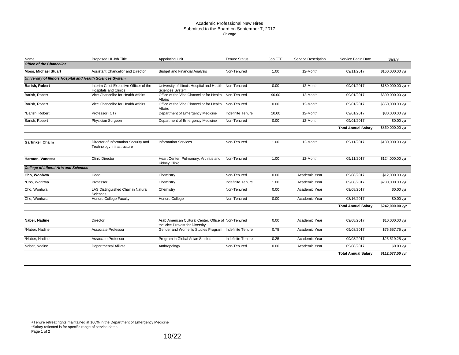#### Academic Professional New Hires Submitted to the Board on September 7, 2017 Chicago

| Name                                                       | Proposed UI Job Title                                                  | <b>Appointing Unit</b>                                                                 | <b>Tenure Status</b> | Job FTE | <b>Service Description</b> | Service Begin Date         | Salary              |
|------------------------------------------------------------|------------------------------------------------------------------------|----------------------------------------------------------------------------------------|----------------------|---------|----------------------------|----------------------------|---------------------|
| <b>Office of the Chancellor</b>                            |                                                                        |                                                                                        |                      |         |                            |                            |                     |
| <b>Moss, Michael Stuart</b>                                | Assistant Chancellor and Director                                      | <b>Budget and Financial Analysis</b>                                                   | Non-Tenured          | 1.00    | 12-Month                   | 09/11/2017                 | \$160,000.00 /yr    |
| University of Illinois Hospital and Health Sciences System |                                                                        |                                                                                        |                      |         |                            |                            |                     |
| Barish, Robert                                             | Interim Chief Executive Officer of the<br><b>Hospitals and Clinics</b> | University of Illinois Hospital and Health Non-Tenured<br><b>Sciences System</b>       |                      | 0.00    | 12-Month                   | 09/01/2017                 | $$180,000.00$ /yr + |
| Barish, Robert                                             | Vice Chancellor for Health Affairs                                     | Office of the Vice Chancellor for Health Non-Tenured<br>Affairs                        |                      | 90.00   | 12-Month                   | 09/01/2017                 | \$300,000.00 /yr    |
| Barish, Robert                                             | Vice Chancellor for Health Affairs                                     | Office of the Vice Chancellor for Health Non-Tenured<br>Affairs                        |                      | 0.00    | 12-Month                   | 09/01/2017                 | \$350,000.00 /yr    |
| *Barish, Robert                                            | Professor (CT)                                                         | Department of Emergency Medicine                                                       | Indefinite Tenure    | 10.00   | 12-Month                   | 09/01/2017                 | \$30,000.00 /yr     |
| Barish, Robert                                             | <b>Physician Surgeon</b>                                               | Department of Emergency Medicine                                                       | Non-Tenured          | 0.00    | 12-Month                   | 09/01/2017                 | \$0.00 / yr         |
|                                                            |                                                                        |                                                                                        |                      |         |                            | <b>Total Annual Salary</b> | \$860,000.00 /yr    |
| Garfinkel, Chaim                                           | Director of Information Security and<br>Technology Infrastructure      | <b>Information Services</b>                                                            | Non-Tenured          | 1.00    | 12-Month                   | 09/11/2017                 | \$180,000.00 /yr    |
| Harmon, Vanessa                                            | <b>Clinic Director</b>                                                 | Heart Center, Pulmonary, Arthritis and<br><b>Kidney Clinic</b>                         | Non-Tenured          | 1.00    | 12-Month                   | 09/11/2017                 | \$124,000.00 /yr    |
| <b>College of Liberal Arts and Sciences</b>                |                                                                        |                                                                                        |                      |         |                            |                            |                     |
| Cho, Wonhwa                                                | Head                                                                   | Chemistry                                                                              | Non-Tenured          | 0.00    | Academic Year              | 09/08/2017                 | \$12,000.00 /yr     |
| *Cho, Wonhwa                                               | Professor                                                              | Chemistry                                                                              | Indefinite Tenure    | 1.00    | Academic Year              | 09/08/2017                 | \$230,000.00 /yr    |
| Cho, Wonhwa                                                | LAS Distinguished Chair in Natural<br>Sciences                         | Chemistry                                                                              | Non-Tenured          | 0.00    | Academic Year              | 09/08/2017                 | \$0.00 /yr          |
| Cho, Wonhwa                                                | <b>Honors College Faculty</b>                                          | Honors College                                                                         | Non-Tenured          | 0.00    | Academic Year              | 08/16/2017                 | $$0.00$ /yr         |
|                                                            |                                                                        |                                                                                        |                      |         |                            | <b>Total Annual Salary</b> | \$242,000.00 /yr    |
| Naber, Nadine                                              | Director                                                               | Arab American Cultural Center, Office of Non-Tenured<br>the Vice Provost for Diversity |                      | 0.00    | Academic Year              | 09/08/2017                 | \$10,000.00 /yr     |
| *Naber, Nadine                                             | Associate Professor                                                    | Gender and Women's Studies Program Indefinite Tenure                                   |                      | 0.75    | Academic Year              | 09/08/2017                 | \$76,557.75 /yr     |
| *Naber, Nadine                                             | Associate Professor                                                    | Program in Global Asian Studies                                                        | Indefinite Tenure    | 0.25    | Academic Year              | 09/08/2017                 | \$25,519.25 /yr     |
| Naber, Nadine                                              | <b>Departmental Afiliate</b>                                           | Anthropology                                                                           | Non-Tenured          | 0.00    | Academic Year              | 09/08/2017                 | \$0.00 /yr          |
|                                                            |                                                                        |                                                                                        |                      |         |                            | <b>Total Annual Salary</b> | \$112,077.00 /yr    |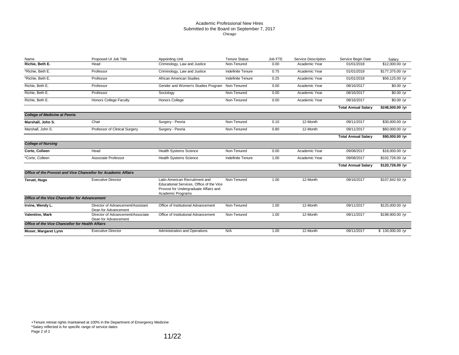#### Academic Professional New Hires Submitted to the Board on September 7, 2017 Chicago

| Name                                             | Proposed UI Job Title                                          | <b>Appointing Unit</b>                                                                                                                   | <b>Tenure Status</b> | Job FTE | <b>Service Description</b> | Service Begin Date         | Salarv           |
|--------------------------------------------------|----------------------------------------------------------------|------------------------------------------------------------------------------------------------------------------------------------------|----------------------|---------|----------------------------|----------------------------|------------------|
| Richie, Beth E.                                  | Head                                                           | Criminology, Law and Justice                                                                                                             | Non-Tenured          | 0.00    | Academic Year              | 01/01/2018                 | \$12,000.00 /yr  |
| *Richie. Beth E.                                 | Professor                                                      | Criminology, Law and Justice                                                                                                             | Indefinite Tenure    | 0.75    | Academic Year              | 01/01/2018                 | \$177,375.00 /yr |
| *Richie, Beth E.                                 | Professor                                                      | African American Studies                                                                                                                 | Indefinite Tenure    | 0.25    | Academic Year              | 01/01/2018                 | \$59,125.00 /yr  |
| Richie, Beth E.                                  | Professor                                                      | Gender and Women's Studies Program                                                                                                       | Non-Tenured          | 0.00    | Academic Year              | 08/16/2017                 | \$0.00 /yr       |
| Richie, Beth E.                                  | Professor                                                      | Sociology                                                                                                                                | Non-Tenured          | 0.00    | Academic Year              | 08/16/2017                 | \$0.00 /yr       |
| Richie, Beth E.                                  | <b>Honors College Faculty</b>                                  | <b>Honors College</b>                                                                                                                    | Non-Tenured          | 0.00    | Academic Year              | 08/16/2017                 | $$0.00$ /yr      |
|                                                  |                                                                |                                                                                                                                          |                      |         |                            | <b>Total Annual Salary</b> | \$248,500.00 /yr |
| <b>College of Medicine at Peoria</b>             |                                                                |                                                                                                                                          |                      |         |                            |                            |                  |
| Marshall, John S.                                | Chair                                                          | Surgery - Peoria                                                                                                                         | Non-Tenured          | 0.10    | 12-Month                   | 09/11/2017                 | \$30,000.00 /yr  |
| Marshall, John S.                                | Professor of Clinical Surgery                                  | Surgery - Peoria                                                                                                                         | Non-Tenured          | 0.80    | 12-Month                   | 09/11/2017                 | \$60,000.00 /yr  |
|                                                  |                                                                |                                                                                                                                          |                      |         |                            | <b>Total Annual Salary</b> | \$90,000.00 /yr  |
| <b>College of Nursing</b>                        |                                                                |                                                                                                                                          |                      |         |                            |                            |                  |
| Corte, Colleen                                   | Head                                                           | <b>Health Systems Science</b>                                                                                                            | Non-Tenured          | 0.00    | Academic Year              | 09/08/2017                 | \$18,000.00 /yr  |
| *Corte, Colleen                                  | Associate Professor                                            | <b>Health Systems Science</b>                                                                                                            | Indefinite Tenure    | 1.00    | Academic Year              | 09/08/2017                 | \$102,726.00 /yr |
|                                                  |                                                                |                                                                                                                                          |                      |         |                            | <b>Total Annual Salary</b> | \$120,726.00 /yr |
|                                                  | Office of the Provost and Vice Chancellor for Academic Affairs |                                                                                                                                          |                      |         |                            |                            |                  |
| Teruel, Hugo                                     | <b>Executive Director</b>                                      | Latin American Recruitment and<br>Educational Services, Office of the Vice<br>Provost for Undergraduate Affairs and<br>Academic Programs | Non-Tenured          | 1.00    | 12-Month                   | 09/16/2017                 | \$107,842.50 /yr |
| Office of the Vice Chancellor for Advancement    |                                                                |                                                                                                                                          |                      |         |                            |                            |                  |
| Irvine, Wendy L.                                 | Director of Advancement/Assistant<br>Dean for Advancement      | Office of Institutional Advancement                                                                                                      | Non-Tenured          | 1.00    | 12-Month                   | 09/11/2017                 | \$125,000.00 /yr |
| Valentino, Mark                                  | Director of Advancement/Associate<br>Dean for Advancement      | Office of Institutional Advancement                                                                                                      | Non-Tenured          | 1.00    | 12-Month                   | 09/11/2017                 | \$198,900.00 /yr |
| Office of the Vice Chancellor for Health Affairs |                                                                |                                                                                                                                          |                      |         |                            |                            |                  |
| Moser, Margaret Lynn                             | <b>Executive Director</b>                                      | Administration and Operations                                                                                                            | N/A                  | 1.00    | 12-Month                   | 09/11/2017                 | \$130,000.00 /yr |

+Tenure retreat rights maintained at 100% in the Department of Emergency Medicine \*Salary reflected is for specific range of service dates Page 2 of 2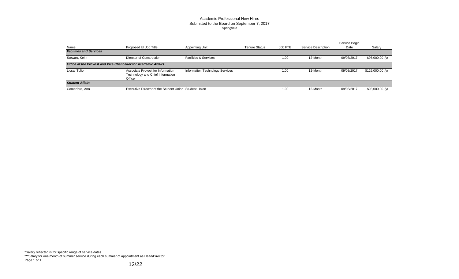### Academic Professional New Hires Submitted to the Board on September 7, 2017 Springfield

| Name                                                           | Proposed UI Job Title                                                            | Appointing Unit                  | <b>Tenure Status</b> | Job FTE | <b>Service Description</b> | Service Begin<br>Date | Salary           |
|----------------------------------------------------------------|----------------------------------------------------------------------------------|----------------------------------|----------------------|---------|----------------------------|-----------------------|------------------|
| <b>Facilities and Services</b>                                 |                                                                                  |                                  |                      |         |                            |                       |                  |
| Stewart, Keith                                                 | Director of Construction                                                         | <b>Facilities &amp; Services</b> |                      | 1.00    | 12-Month                   | 09/08/2017            | \$96,000.00 /yr  |
| Office of the Provost and Vice Chancellor for Academic Affairs |                                                                                  |                                  |                      |         |                            |                       |                  |
| Llosa, Tulio                                                   | Associate Provost for Information<br>Technology and Chief Information<br>Officer | Information Technology Services  |                      | 1.00    | 12-Month                   | 09/08/2017            | \$125,000.00 /yr |
| <b>Student Affairs</b>                                         |                                                                                  |                                  |                      |         |                            |                       |                  |
| Comerford, Ann                                                 | Executive Director of the Student Union Student Union                            |                                  |                      | 1.00    | 12-Month                   | 09/08/2017            | \$93,000.00 /yr  |

\*Salary reflected is for specific range of service dates \*\*\*Salary for one month of summer service during each summer of appointment as Head/Director Page 1 of 1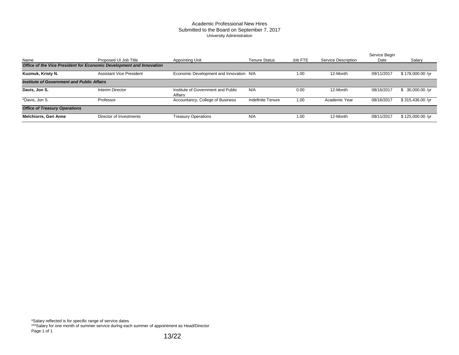#### Academic Professional New Hires Submitted to the Board on September 7, 2017 University Administration

|                                                                      |                                 |                                               |                      |         |                     | Service Begin |                  |
|----------------------------------------------------------------------|---------------------------------|-----------------------------------------------|----------------------|---------|---------------------|---------------|------------------|
| Name                                                                 | Proposed UI Job Title           | Appointing Unit                               | <b>Tenure Status</b> | Job FTE | Service Description | Date          | Salary           |
| Office of the Vice President for Economic Development and Innovation |                                 |                                               |                      |         |                     |               |                  |
| Kuzmuk, Kristy N.                                                    | <b>Assistant Vice President</b> | Economic Development and Innovation N/A       |                      | 1.00    | 12-Month            | 09/11/2017    | \$178,000.00 /yr |
| <b>Institute of Government and Public Affairs</b>                    |                                 |                                               |                      |         |                     |               |                  |
| Davis, Jon S.                                                        | <b>Interim Director</b>         | Institute of Government and Public<br>Affairs | N/A                  | 0.00    | 12-Month            | 08/16/2017    | 30,000.00 /yr    |
| *Davis, Jon S.                                                       | Professor                       | Accountancy, College of Business              | Indefinite Tenure    | 1.00    | Academic Year       | 08/16/2017    | \$315,436.00 /yr |
| <b>Office of Treasury Operations</b>                                 |                                 |                                               |                      |         |                     |               |                  |
| Melchiorre, Geri Anne                                                | Director of Investments         | <b>Treasury Operations</b>                    | N/A                  | 1.00    | 12-Month            | 09/11/2017    | \$125,000.00 /yr |

\*Salary reflected is for specific range of service dates

\*\*\*Salary for one month of summer service during each summer of appointment as Head/Director Page 1 of 1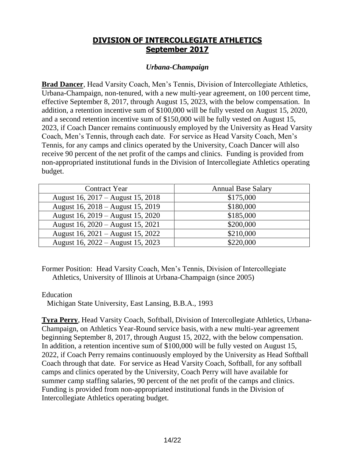# **DIVISION OF INTERCOLLEGIATE ATHLETICS September 2017**

### *Urbana-Champaign*

**Brad Dancer**, Head Varsity Coach, Men's Tennis, Division of Intercollegiate Athletics, Urbana-Champaign, non-tenured, with a new multi-year agreement, on 100 percent time, effective September 8, 2017, through August 15, 2023, with the below compensation. In addition, a retention incentive sum of \$100,000 will be fully vested on August 15, 2020, and a second retention incentive sum of \$150,000 will be fully vested on August 15, 2023, if Coach Dancer remains continuously employed by the University as Head Varsity Coach, Men's Tennis, through each date. For service as Head Varsity Coach, Men's Tennis, for any camps and clinics operated by the University, Coach Dancer will also receive 90 percent of the net profit of the camps and clinics. Funding is provided from non-appropriated institutional funds in the Division of Intercollegiate Athletics operating budget.

| <b>Contract Year</b>              | <b>Annual Base Salary</b> |
|-----------------------------------|---------------------------|
| August 16, 2017 – August 15, 2018 | \$175,000                 |
| August 16, 2018 – August 15, 2019 | \$180,000                 |
| August 16, 2019 – August 15, 2020 | \$185,000                 |
| August 16, 2020 – August 15, 2021 | \$200,000                 |
| August 16, 2021 – August 15, 2022 | \$210,000                 |
| August 16, 2022 – August 15, 2023 | \$220,000                 |

Former Position: Head Varsity Coach, Men's Tennis, Division of Intercollegiate Athletics, University of Illinois at Urbana-Champaign (since 2005)

### Education

Michigan State University, East Lansing, B.B.A., 1993

**Tyra Perry**, Head Varsity Coach, Softball, Division of Intercollegiate Athletics, Urbana-Champaign, on Athletics Year-Round service basis, with a new multi-year agreement beginning September 8, 2017, through August 15, 2022, with the below compensation. In addition, a retention incentive sum of \$100,000 will be fully vested on August 15, 2022, if Coach Perry remains continuously employed by the University as Head Softball Coach through that date. For service as Head Varsity Coach, Softball, for any softball camps and clinics operated by the University, Coach Perry will have available for summer camp staffing salaries, 90 percent of the net profit of the camps and clinics. Funding is provided from non-appropriated institutional funds in the Division of Intercollegiate Athletics operating budget.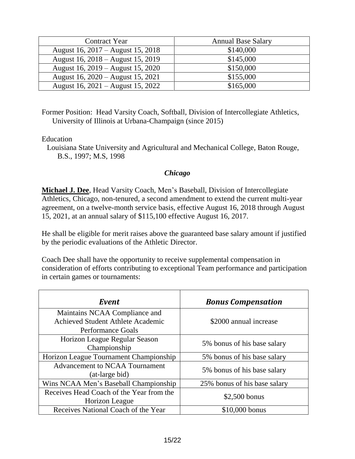| <b>Contract Year</b>              | <b>Annual Base Salary</b> |
|-----------------------------------|---------------------------|
| August 16, 2017 – August 15, 2018 | \$140,000                 |
| August 16, 2018 – August 15, 2019 | \$145,000                 |
| August 16, 2019 – August 15, 2020 | \$150,000                 |
| August 16, 2020 – August 15, 2021 | \$155,000                 |
| August 16, 2021 – August 15, 2022 | \$165,000                 |

Former Position: Head Varsity Coach, Softball, Division of Intercollegiate Athletics, University of Illinois at Urbana-Champaign (since 2015)

Education

Louisiana State University and Agricultural and Mechanical College, Baton Rouge, B.S., 1997; M.S, 1998

### *Chicago*

**Michael J. Dee**, Head Varsity Coach, Men's Baseball, Division of Intercollegiate Athletics, Chicago, non-tenured, a second amendment to extend the current multi-year agreement, on a twelve-month service basis, effective August 16, 2018 through August 15, 2021, at an annual salary of \$115,100 effective August 16, 2017.

He shall be eligible for merit raises above the guaranteed base salary amount if justified by the periodic evaluations of the Athletic Director.

Coach Dee shall have the opportunity to receive supplemental compensation in consideration of efforts contributing to exceptional Team performance and participation in certain games or tournaments:

| Event                                                   | <b>Bonus Compensation</b>    |
|---------------------------------------------------------|------------------------------|
| Maintains NCAA Compliance and                           |                              |
| <b>Achieved Student Athlete Academic</b>                | \$2000 annual increase       |
| <b>Performance Goals</b>                                |                              |
| Horizon League Regular Season                           |                              |
| Championship                                            | 5% bonus of his base salary  |
| Horizon League Tournament Championship                  | 5% bonus of his base salary  |
| <b>Advancement to NCAA Tournament</b><br>(at-large bid) | 5% bonus of his base salary  |
| Wins NCAA Men's Baseball Championship                   | 25% bonus of his base salary |
| Receives Head Coach of the Year from the                |                              |
| Horizon League                                          | $$2,500$ bonus               |
| Receives National Coach of the Year                     | $$10,000$ bonus              |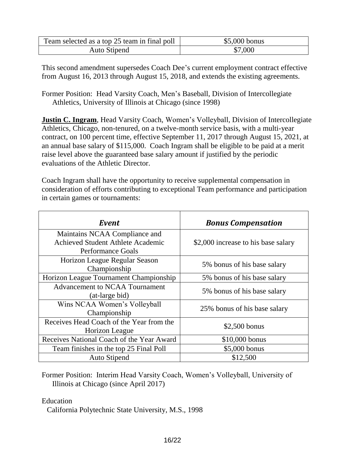| Team selected as a top 25 team in final poll | \$5,000 bonus |
|----------------------------------------------|---------------|
| Auto Stipend                                 | \$7,000       |

This second amendment supersedes Coach Dee's current employment contract effective from August 16, 2013 through August 15, 2018, and extends the existing agreements.

Former Position: Head Varsity Coach, Men's Baseball, Division of Intercollegiate Athletics, University of Illinois at Chicago (since 1998)

**Justin C. Ingram, Head Varsity Coach, Women's Volleyball, Division of Intercollegiate** Athletics, Chicago, non-tenured, on a twelve-month service basis, with a multi-year contract, on 100 percent time, effective September 11, 2017 through August 15, 2021, at an annual base salary of \$115,000. Coach Ingram shall be eligible to be paid at a merit raise level above the guaranteed base salary amount if justified by the periodic evaluations of the Athletic Director.

Coach Ingram shall have the opportunity to receive supplemental compensation in consideration of efforts contributing to exceptional Team performance and participation in certain games or tournaments:

| Event                                                   | <b>Bonus Compensation</b>           |
|---------------------------------------------------------|-------------------------------------|
| Maintains NCAA Compliance and                           |                                     |
| Achieved Student Athlete Academic                       | \$2,000 increase to his base salary |
| <b>Performance Goals</b>                                |                                     |
| Horizon League Regular Season<br>Championship           | 5% bonus of his base salary         |
| Horizon League Tournament Championship                  | 5% bonus of his base salary         |
| <b>Advancement to NCAA Tournament</b><br>(at-large bid) | 5% bonus of his base salary         |
| Wins NCAA Women's Volleyball<br>Championship            | 25% bonus of his base salary        |
| Receives Head Coach of the Year from the                |                                     |
| Horizon League                                          | $$2,500$ bonus                      |
| Receives National Coach of the Year Award               | \$10,000 bonus                      |
| Team finishes in the top 25 Final Poll                  | \$5,000 bonus                       |
| <b>Auto Stipend</b>                                     | \$12,500                            |

Former Position: Interim Head Varsity Coach, Women's Volleyball, University of Illinois at Chicago (since April 2017)

Education

California Polytechnic State University, M.S., 1998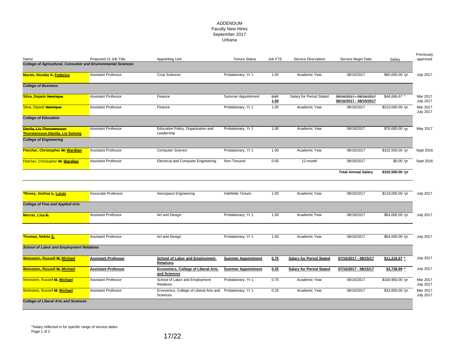#### ADDENDUM Faculty New Hires September 2017 Urbana

| Name                                                                                                          | Proposed UI Job Title      | <b>Appointing Unit</b>                             | <b>Tenure Status</b>      | Job FTE      | Service Description             | Service Begin Date                                 | Salary           | approved                                         |
|---------------------------------------------------------------------------------------------------------------|----------------------------|----------------------------------------------------|---------------------------|--------------|---------------------------------|----------------------------------------------------|------------------|--------------------------------------------------|
| <b>College of Agricultural, Consumer and Environmental Sciences</b>                                           |                            |                                                    |                           |              |                                 |                                                    |                  |                                                  |
| <b>Martin, Nicolás F. Federico</b>                                                                            | <b>Assistant Professor</b> | <b>Crop Sciences</b>                               | Probationary, Yr 1        | 1.00         | Academic Year                   | 08/16/2017                                         | \$85,000.00 /yr  | <b>July 2017</b>                                 |
| <b>College of Business</b>                                                                                    |                            |                                                    |                           |              |                                 |                                                    |                  |                                                  |
| Silva, Dejanir Henrique                                                                                       | <b>Assistant Professor</b> | Finance                                            | Summer Appointment        | 0.67<br>1.00 | Salary for Period Stated        | 05/16/2017 - 08/15/2017<br>06/16/2017 - 08/15/2017 | \$46,666.67 *    | Mar 2017<br><b>July 2017</b>                     |
| Silva, Dejanir Henrique                                                                                       | <b>Assistant Professor</b> | Finance                                            | Probationary, Yr 1        | 1.00         | Academic Year                   | 08/16/2017                                         | \$210,000.00 /yr | Mar 2017<br><b>July 2017</b>                     |
| <b>College of Education</b>                                                                                   |                            |                                                    |                           |              |                                 |                                                    |                  |                                                  |
| Dávila, Liv Thorstensson<br><b>Thorstensson Dávilla, Liv Solveig</b>                                          | <b>Assistant Professor</b> | Education Policy, Organization and<br>Leadership   | Probationary, Yr 1        | 1.00         | Academic Year                   | 08/16/2017                                         | \$70,000.00 /yr  | May 2017                                         |
| <b>College of Engineering</b>                                                                                 |                            |                                                    |                           |              |                                 |                                                    |                  |                                                  |
| Fletcher, Christopher W. Wardlaw                                                                              | <b>Assistant Professor</b> | <b>Computer Science</b>                            | Probationary, Yr 1        | 1.00         | Academic Year                   | 08/16/2017                                         | \$102,500.00 /yr | Sept 2016                                        |
| Fletcher, Christopher W. Wardlaw                                                                              | <b>Assistant Professor</b> | Electrical and Computer Engineering                | Non-Tenured               | 0.00         | 12-month                        | 08/16/2017                                         | \$0.00 /yr       | Sept 2016                                        |
|                                                                                                               |                            |                                                    |                           |              |                                 |                                                    |                  |                                                  |
|                                                                                                               |                            |                                                    |                           |              |                                 | <b>Total Annual Salary</b>                         | \$102,500.00 /yr |                                                  |
|                                                                                                               | Associate Professor        | Aerospace Engineering                              | Indefinite Tenure         | 1.00         | Academic Year                   | 08/16/2017                                         | \$119,000.00 /yr |                                                  |
|                                                                                                               |                            |                                                    |                           |              |                                 |                                                    |                  |                                                  |
|                                                                                                               | <b>Assistant Professor</b> | Art and Design                                     | Probationary, Yr 1        | 1.00         | Academic Year                   | 08/16/2017                                         | \$64,000.00 /yr  |                                                  |
| *Rovey, Joshua L. Lucas<br><b>College of Fine and Applied Arts</b><br>Mercer, Lisa E-                         |                            |                                                    |                           |              |                                 |                                                    |                  | <b>July 2017</b><br><b>July 2017</b>             |
| Thomas, Nekita S.                                                                                             | <b>Assistant Professor</b> | Art and Design                                     | Probationary, Yr 1        | 1.00         | Academic Year                   | 08/16/2017                                         | \$64,000.00 /yr  | <b>July 2017</b>                                 |
| <b>School of Labor and Employment Relations</b>                                                               |                            |                                                    |                           |              |                                 |                                                    |                  |                                                  |
|                                                                                                               | <b>Assistant Professor</b> | School of Labor and Employment<br><b>Relations</b> | <b>Summer Appointment</b> | 0.75         | <b>Salary for Period Stated</b> | 07/16/2017 - 08/15/17                              | \$11,216.67 *    | <b>July 2017</b>                                 |
|                                                                                                               | <b>Assistant Professor</b> | Economics, College of Liberal Arts<br>and Sciences | <b>Summer Appointment</b> | 0.25         | <b>Salary for Period Stated</b> | 07/16/2017 - 08/15/17                              | \$3,738.89 *     |                                                  |
| <b>Weinstein, Russell M. Michael</b><br><b>Weinstein, Russell M. Michael</b><br>Weinstein, Russell M. Michael | <b>Assistant Professor</b> | School of Labor and Employment<br>Relations        | Probationary, Yr 1        | 0.75         | Academic Year                   | 08/16/2017                                         | \$100,950.00 /yr | <b>July 2017</b><br>Mar 2017<br><b>July 2017</b> |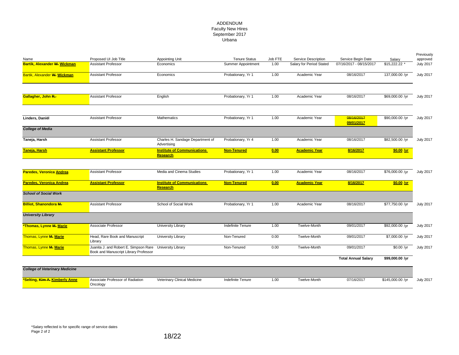#### ADDENDUM Faculty New Hires September 2017 Urbana

| Name                                  | Proposed UI Job Title                                                          | Appointing Unit                                       | <b>Tenure Status</b>     | Job FTE | Service Description      | Service Begin Date         | Salary           | Previously<br>approved |
|---------------------------------------|--------------------------------------------------------------------------------|-------------------------------------------------------|--------------------------|---------|--------------------------|----------------------------|------------------|------------------------|
| Bartik, Alexander W. Wickman          | <b>Assistant Professor</b>                                                     | Economics                                             | Summer Appointment       | 1.00    | Salary for Period Stated | 07/16/2017 - 08/15/2017    | $$15,222.22$ *   | <b>July 2017</b>       |
| Bartik, Alexander W. Wickman          | <b>Assistant Professor</b>                                                     | Economics                                             | Probationary, Yr 1       | 1.00    | Academic Year            | 08/16/2017                 | 137,000.00 /yr   | <b>July 2017</b>       |
| Gallagher, John R.                    | <b>Assistant Professor</b>                                                     | English                                               | Probationary, Yr 1       | 1.00    | Academic Year            | 08/16/2017                 | \$69,000.00 /yr  | <b>July 2017</b>       |
| Linders, Daniël                       | <b>Assistant Professor</b>                                                     | Mathematics                                           | Probationary, Yr 1       | 1.00    | Academic Year            | 08/16/2017<br>09/01/2017   | \$90,000.00 /yr  | <b>July 2017</b>       |
| <b>College of Media</b>               |                                                                                |                                                       |                          |         |                          |                            |                  |                        |
| Taneja, Harsh                         | <b>Assistant Professor</b>                                                     | Charles H. Sandage Department of<br>Advertising       | Probationary, Yr 4       | 1.00    | Academic Year            | 08/16/2017                 | \$82,500.00 /yr  | <b>July 2017</b>       |
| <b>Taneja, Harsh</b>                  | <b>Assistant Professor</b>                                                     | <b>Institute of Communications</b><br><b>Research</b> | Non-Tenured              | 0.00    | <b>Academic Year</b>     | 8/16/2017                  | \$0.00 /yr       |                        |
|                                       |                                                                                |                                                       |                          |         |                          |                            |                  |                        |
| <b>Paredes, Veronica Andrea</b>       | <b>Assistant Professor</b>                                                     | Media and Cinema Studies                              | Probationary, Yr 1       | 1.00    | Academic Year            | 08/16/2017                 | \$76,000.00 /yr  | <b>July 2017</b>       |
| Paredes, Veronica Andrea              | <b>Assistant Professor</b>                                                     | <b>Institute of Communications</b><br><b>Research</b> | <b>Non-Tenured</b>       | 0.00    | <b>Academic Year</b>     | 8/16/2017                  | $$0.00 \Delta T$ |                        |
| <b>School of Social Work</b>          |                                                                                |                                                       |                          |         |                          |                            |                  |                        |
| <b>Billiot, Shanondora M.</b>         | <b>Assistant Professor</b>                                                     | School of Social Work                                 | Probationary, Yr 1       | 1.00    | Academic Year            | 08/16/2017                 | \$77,750.00 /vr  | <b>July 2017</b>       |
| <b>University Library</b>             |                                                                                |                                                       |                          |         |                          |                            |                  |                        |
| *Thomas, Lynne M. Marie               | Associate Professor                                                            | <b>University Library</b>                             | <b>Indefinite Tenure</b> | 1.00    | Twelve-Month             | 09/01/2017                 | \$92,000.00 /yr  | <b>July 2017</b>       |
| Thomas, Lynne M. Marie                | Head, Rare Book and Manuscript<br>Library                                      | <b>University Library</b>                             | Non-Tenured              | 0.00    | Twelve-Month             | 09/01/2017                 | \$7,000.00 /yr   | <b>July 2017</b>       |
| Thomas, Lynne M. Marie                | Juanita J. and Robert E. Simpson Rare<br>Book and Manuscript Library Professor | University Library                                    | Non-Tenured              | 0.00    | Twelve-Month             | 09/01/2017                 | \$0.00 /yr       | <b>July 2017</b>       |
|                                       |                                                                                |                                                       |                          |         |                          | <b>Total Annual Salary</b> | \$99,000.00 /yr  |                        |
| <b>College of Veterinary Medicine</b> |                                                                                |                                                       |                          |         |                          |                            |                  |                        |
| *Selting, Kim A. Kimberly Anne        | Associate Professor of Radiation<br>Oncology                                   | Veterinary Clinical Medicine                          | Indefinite Tenure        | 1.00    | Twelve-Month             | 07/16/2017                 | \$145,000.00 /yr | <b>July 2017</b>       |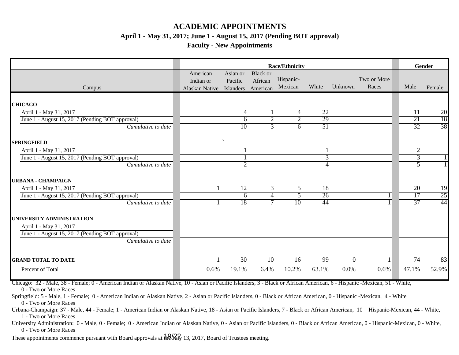# **ACADEMIC APPOINTMENTS April 1 - May 31, 2017; June 1 - August 15, 2017 (Pending BOT approval)**

### **Faculty - New Appointments**

|                                                 |                                                   | <b>Race/Ethnicity</b> |                                        |                      |                 |                |                      |  |                 | Gender          |
|-------------------------------------------------|---------------------------------------------------|-----------------------|----------------------------------------|----------------------|-----------------|----------------|----------------------|--|-----------------|-----------------|
| Campus                                          | American<br>Indian or<br>Alaskan Native Islanders | Asian or<br>Pacific   | <b>Black</b> or<br>African<br>American | Hispanic-<br>Mexican | White           | Unknown        | Two or More<br>Races |  | Male            | Female          |
|                                                 |                                                   |                       |                                        |                      |                 |                |                      |  |                 |                 |
| <b>CHICAGO</b><br>April 1 - May 31, 2017        |                                                   | 4                     |                                        | 4                    | 22              |                |                      |  | 11              | 20              |
| June 1 - August 15, 2017 (Pending BOT approval) |                                                   | 6                     | $\overline{2}$                         | $\overline{2}$       | 29              |                |                      |  | 21              | 18              |
| Cumulative to date                              |                                                   | 10                    | $\overline{3}$                         | $\overline{6}$       | $\overline{51}$ |                |                      |  | $\overline{32}$ | 38              |
| <b>SPRINGFIELD</b>                              |                                                   |                       |                                        |                      |                 |                |                      |  |                 |                 |
| April 1 - May 31, 2017                          |                                                   |                       |                                        |                      |                 |                |                      |  | $\overline{2}$  |                 |
| June 1 - August 15, 2017 (Pending BOT approval) |                                                   |                       |                                        |                      | $\overline{3}$  |                |                      |  | $\overline{3}$  |                 |
| Cumulative to date                              |                                                   | $\overline{2}$        |                                        |                      | 4               |                |                      |  | 5               |                 |
| <b>URBANA - CHAMPAIGN</b>                       |                                                   |                       |                                        |                      |                 |                |                      |  |                 |                 |
| April 1 - May 31, 2017                          |                                                   | 12                    | 3                                      | 5                    | 18              |                |                      |  | 20              | 19              |
| June 1 - August 15, 2017 (Pending BOT approval) |                                                   | 6                     | $\overline{4}$                         | 5                    | 26              |                |                      |  | 17              | $\overline{25}$ |
| Cumulative to date                              |                                                   | 18                    | $\overline{7}$                         | 10                   | 44              |                |                      |  | $\overline{37}$ | 44              |
| UNIVERSITY ADMINISTRATION                       |                                                   |                       |                                        |                      |                 |                |                      |  |                 |                 |
| April 1 - May 31, 2017                          |                                                   |                       |                                        |                      |                 |                |                      |  |                 |                 |
| June 1 - August 15, 2017 (Pending BOT approval) |                                                   |                       |                                        |                      |                 |                |                      |  |                 |                 |
| Cumulative to date                              |                                                   |                       |                                        |                      |                 |                |                      |  |                 |                 |
| <b>GRAND TOTAL TO DATE</b>                      |                                                   | 30                    | 10                                     | 16                   | 99              | $\overline{0}$ |                      |  | 74              | 83              |
| Percent of Total                                | 0.6%                                              | 19.1%                 | 6.4%                                   | 10.2%                | 63.1%           | 0.0%           | 0.6%                 |  | 47.1%           | 52.9%           |

Chicago: 32 - Male, 38 - Female; 0 - American Indian or Alaskan Native, 10 - Asian or Pacific Islanders, 3 - Black or African American, 6 - Hispanic -Mexican, 51 - White, 0 - Two or More Races

Springfield: 5 - Male, 1 - Female; 0 - American Indian or Alaskan Native, 2 - Asian or Pacific Islanders, 0 - Black or African American, 0 - Hispanic -Mexican, 4 - White 0 - Two or More Races

Urbana-Champaign: 37 - Male, 44 - Female; 1 - American Indian or Alaskan Native, 18 - Asian or Pacific Islanders, 7 - Black or African American, 10 - Hispanic-Mexican, 44 - White, 1 - Two or More Races

University Administration: 0 - Male, 0 - Female; 0 - American Indian or Alaskan Native, 0 - Asian or Pacific Islanders, 0 - Black or African American, 0 - Hispanic-Mexican, 0 - White, 0 - Two or More Races

These appointments commence pursuant with Board approvals at  $\frac{19}{29}$ , 13, 2017, Board of Trustees meeting.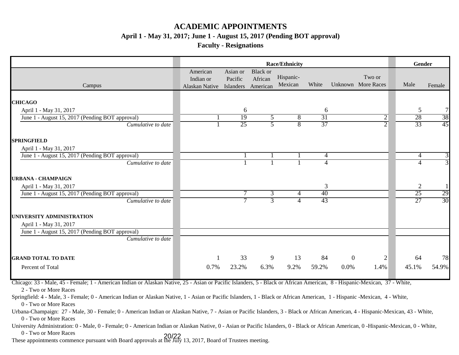## **ACADEMIC APPOINTMENTS**

**April 1 - May 31, 2017; June 1 - August 15, 2017 (Pending BOT approval)**

**Faculty - Resignations**

|                                                                           |                                         |                                  |                                        | <b>Race/Ethnicity</b> |                      |                |                              |                | Gender          |
|---------------------------------------------------------------------------|-----------------------------------------|----------------------------------|----------------------------------------|-----------------------|----------------------|----------------|------------------------------|----------------|-----------------|
| Campus                                                                    | American<br>Indian or<br>Alaskan Native | Asian or<br>Pacific<br>Islanders | <b>Black or</b><br>African<br>American | Hispanic-<br>Mexican  | White                |                | Two or<br>Unknown More Races | Male           | Female          |
|                                                                           |                                         |                                  |                                        |                       |                      |                |                              |                |                 |
| <b>CHICAGO</b>                                                            |                                         |                                  |                                        |                       |                      |                |                              | 5              | $\overline{7}$  |
| April 1 - May 31, 2017<br>June 1 - August 15, 2017 (Pending BOT approval) |                                         | 6<br>19                          | $\overline{5}$                         | $\overline{8}$        | 6<br>$\overline{31}$ |                | $\overline{2}$               | 28             | 38              |
| Cumulative to date                                                        |                                         | $\overline{25}$                  | 5                                      | $\overline{8}$        | 37                   |                | $\overline{2}$               | 33             | $\overline{45}$ |
| <b>SPRINGFIELD</b>                                                        |                                         |                                  |                                        |                       |                      |                |                              |                |                 |
| April 1 - May 31, 2017                                                    |                                         |                                  |                                        |                       |                      |                |                              |                |                 |
| June 1 - August 15, 2017 (Pending BOT approval)                           |                                         |                                  |                                        |                       | 4                    |                |                              | $\overline{4}$ | 3               |
| Cumulative to date                                                        |                                         |                                  |                                        |                       | 4                    |                |                              | $\overline{4}$ | 3               |
| <b>URBANA - CHAMPAIGN</b>                                                 |                                         |                                  |                                        |                       |                      |                |                              |                |                 |
| April 1 - May 31, 2017                                                    |                                         |                                  |                                        |                       | 3                    |                |                              | 2              |                 |
| June 1 - August 15, 2017 (Pending BOT approval)                           |                                         | 7                                | 3                                      | 4                     | 40                   |                |                              | 25             | 29              |
| Cumulative to date                                                        |                                         |                                  | 3                                      |                       | 43                   |                |                              | 27             | $\overline{30}$ |
| UNIVERSITY ADMINISTRATION                                                 |                                         |                                  |                                        |                       |                      |                |                              |                |                 |
| April 1 - May 31, 2017                                                    |                                         |                                  |                                        |                       |                      |                |                              |                |                 |
| June 1 - August 15, 2017 (Pending BOT approval)                           |                                         |                                  |                                        |                       |                      |                |                              |                |                 |
| Cumulative to date                                                        |                                         |                                  |                                        |                       |                      |                |                              |                |                 |
| <b>GRAND TOTAL TO DATE</b>                                                |                                         | 33                               | 9                                      | 13                    | 84                   | $\overline{0}$ | 2                            | 64             | 78              |
| Percent of Total                                                          | 0.7%                                    | 23.2%                            | 6.3%                                   | 9.2%                  | 59.2%                | 0.0%           | 1.4%                         | 45.1%          | 54.9%           |

Chicago: 33 - Male, 45 - Female; 1 - American Indian or Alaskan Native, 25 - Asian or Pacific Islanders, 5 - Black or African American, 8 - Hispanic-Mexican, 37 - White, 2 - Two or More Races

Springfield: 4 - Male, 3 - Female; 0 - American Indian or Alaskan Native, 1 - Asian or Pacific Islanders, 1 - Black or African American, 1 - Hispanic -Mexican, 4 - White, 0 - Two or More Races

Urbana-Champaign: 27 - Male, 30 - Female; 0 - American Indian or Alaskan Native, 7 - Asian or Pacific Islanders, 3 - Black or African American, 4 - Hispanic-Mexican, 43 - White, 0 - Two or More Races

University Administration: 0 - Male, 0 - Female; 0 - American Indian or Alaskan Native, 0 - Asian or Pacific Islanders, 0 - Black or African American, 0 -Hispanic-Mexican, 0 - White, 0 - Two or More Races

These appointments commence pursuant with Board approvals at the July 13, 2017, Board of Trustees meeting. 20/22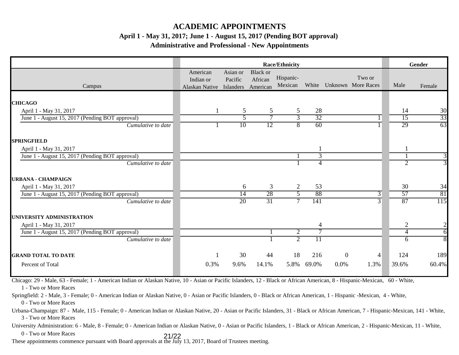## **ACADEMIC APPOINTMENTS**

### **April 1 - May 31, 2017; June 1 - August 15, 2017 (Pending BOT approval)**

### **Administrative and Professional - New Appointments**

|                                                 |                                                   |                     |                                        | <b>Race/Ethnicity</b> |                 |                  |                              | Gender         |                |  |
|-------------------------------------------------|---------------------------------------------------|---------------------|----------------------------------------|-----------------------|-----------------|------------------|------------------------------|----------------|----------------|--|
| Campus                                          | American<br>Indian or<br>Alaskan Native Islanders | Asian or<br>Pacific | <b>Black</b> or<br>African<br>American | Hispanic-<br>Mexican  | White           |                  | Two or<br>Unknown More Races | Male           | Female         |  |
| <b>CHICAGO</b>                                  |                                                   |                     |                                        |                       |                 |                  |                              |                |                |  |
| April 1 - May 31, 2017                          |                                                   | 5                   | 5                                      | 5                     | 28              |                  |                              | 14             | 30             |  |
| June 1 - August 15, 2017 (Pending BOT approval) |                                                   | 5                   | 7                                      | 3                     | 32              |                  |                              | 15             | 33             |  |
| Cumulative to date                              |                                                   | 10                  | 12                                     | 8                     | 60              |                  |                              | 29             | 63             |  |
| <b>SPRINGFIELD</b>                              |                                                   |                     |                                        |                       |                 |                  |                              |                |                |  |
| April 1 - May 31, 2017                          |                                                   |                     |                                        |                       |                 |                  |                              |                |                |  |
| June 1 - August 15, 2017 (Pending BOT approval) |                                                   |                     |                                        |                       | 3               |                  |                              |                | $\overline{3}$ |  |
| Cumulative to date                              |                                                   |                     |                                        |                       | 4               |                  |                              | $\overline{2}$ | $\overline{3}$ |  |
| <b>URBANA - CHAMPAIGN</b>                       |                                                   |                     |                                        |                       |                 |                  |                              |                |                |  |
| April 1 - May 31, 2017                          |                                                   | 6                   | 3                                      | 2                     | 53              |                  |                              | 30             | 34             |  |
| June 1 - August 15, 2017 (Pending BOT approval) |                                                   | 14                  | 28                                     | 5                     | 88              |                  | 3                            | 57             | 81             |  |
| Cumulative to date                              |                                                   | 20                  | 31                                     | $\tau$                | 141             |                  | $\overline{3}$               | 87             | 115            |  |
| UNIVERSITY ADMINISTRATION                       |                                                   |                     |                                        |                       |                 |                  |                              |                |                |  |
| April 1 - May 31, 2017                          |                                                   |                     |                                        |                       | 4               |                  |                              | $\overline{2}$ | $\overline{2}$ |  |
| June 1 - August 15, 2017 (Pending BOT approval) |                                                   |                     |                                        | $\overline{2}$        | 7               |                  |                              | 4              | $\overline{6}$ |  |
| Cumulative to date                              |                                                   |                     |                                        | $\overline{2}$        | $\overline{11}$ |                  |                              | 6              | $\overline{8}$ |  |
| <b>GRAND TOTAL TO DATE</b>                      |                                                   | 30                  | 44                                     | 18                    | 216             | $\boldsymbol{0}$ | 4                            | 124            | 189            |  |
| Percent of Total                                | 0.3%                                              | 9.6%                | 14.1%                                  | 5.8%                  | 69.0%           | 0.0%             | 1.3%                         | 39.6%          | 60.4%          |  |

Chicago: 29 - Male, 63 - Female; 1 - American Indian or Alaskan Native, 10 - Asian or Pacific Islanders, 12 - Black or African American, 8 - Hispanic-Mexican, 60 - White, 1 - Two or More Races

Springfield: 2 - Male, 3 - Female; 0 - American Indian or Alaskan Native, 0 - Asian or Pacific Islanders, 0 - Black or African American, 1 - Hispanic -Mexican, 4 - White, 0 - Two or More Races

Urbana-Champaign: 87 - Male, 115 - Female; 0 - American Indian or Alaskan Native, 20 - Asian or Pacific Islanders, 31 - Black or African American, 7 - Hispanic-Mexican, 141 - White, 3 - Two or More Races

University Administration: 6 - Male, 8 - Female; 0 - American Indian or Alaskan Native, 0 - Asian or Pacific Islanders, 1 - Black or African American, 2 - Hispanic-Mexican, 11 - White, 0 - Two or More Races 21/22

These appointments commence pursuant with Board approvals at the July 13, 2017, Board of Trustees meeting.